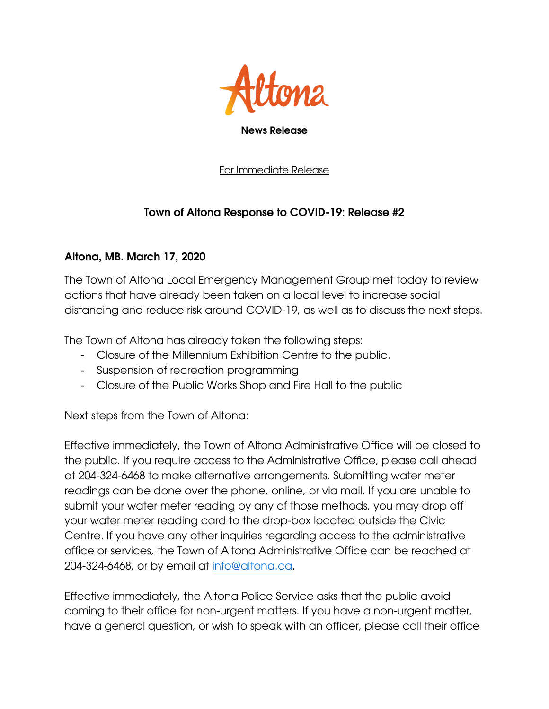

For Immediate Release

## Town of Altona Response to COVID-19: Release #2

## Altona, MB. March 17, 2020

The Town of Altona Local Emergency Management Group met today to review actions that have already been taken on a local level to increase social distancing and reduce risk around COVID-19, as well as to discuss the next steps.

The Town of Altona has already taken the following steps:

- Closure of the Millennium Exhibition Centre to the public.
- Suspension of recreation programming
- Closure of the Public Works Shop and Fire Hall to the public

Next steps from the Town of Altona:

Effective immediately, the Town of Altona Administrative Office will be closed to the public. If you require access to the Administrative Office, please call ahead at 204-324-6468 to make alternative arrangements. Submitting water meter readings can be done over the phone, online, or via mail. If you are unable to submit your water meter reading by any of those methods, you may drop off your water meter reading card to the drop-box located outside the Civic Centre. If you have any other inquiries regarding access to the administrative office or services, the Town of Altona Administrative Office can be reached at 204-324-6468, or by email at [info@altona.ca.](mailto:info@altona.ca)

Effective immediately, the Altona Police Service asks that the public avoid coming to their office for non-urgent matters. If you have a non-urgent matter, have a general question, or wish to speak with an officer, please call their office